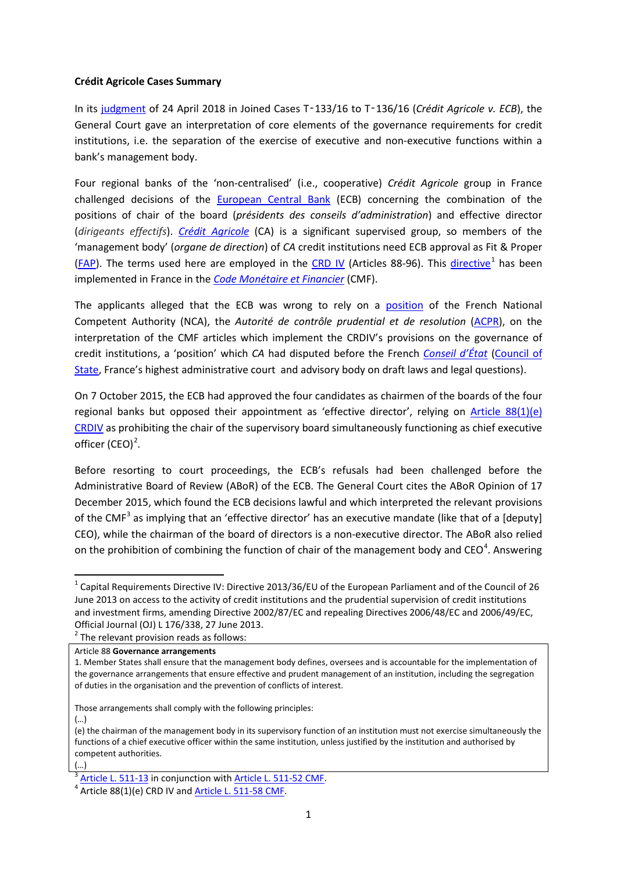## **Crédit Agricole Cases Summary**

In its [judgment](http://curia.europa.eu/juris/documents.jsf?num=T-133/16) of 24 April 2018 in Joined Cases T‑133/16 to T‑136/16 (*Crédit Agricole v. ECB*), the General Court gave an interpretation of core elements of the governance requirements for credit institutions, i.e. the separation of the exercise of executive and non-executive functions within a bank's management body.

Four regional banks of the 'non-centralised' (i.e., cooperative) *Crédit Agricole* group in France challenged decisions of the [European Central Bank](https://www.bankingsupervision.europa.eu/home/html/index.en.html) (ECB) concerning the combination of the positions of chair of the board (*présidents des conseils d'administration*) and effective director (*dirigeants effectifs*). *[Crédit Agricole](https://www.credit-agricole.fr/)* (CA) is a significant supervised group, so members of the 'management body' (*organe de direction*) of *CA* credit institutions need ECB approval as Fit & Proper ( $FAP$ ). The terms used here are employed in the [CRD IV](http://eur-lex.europa.eu/LexUriServ/LexUriServ.do?uri=OJ:L:2013:176:0338:0436:EN:PDF) (Articles 88-96). This [directive](http://eur-lex.europa.eu/LexUriServ/LexUriServ.do?uri=OJ:L:2013:176:0338:0436:FR:PDF)<sup>[1](#page-0-0)</sup> has been implemented in France in the *[Code Monétaire et Financier](https://www.legifrance.gouv.fr/affichCode.do?cidTexte=LEGITEXT000006072026)* (CMF).

The applicants alleged that the ECB was wrong to rely on a [position](https://acpr.banque-france.fr/sites/default/files/medias/documents/20140620-communique-acpr-position-2014-p-07.pdf) of the French National Competent Authority (NCA), the *Autorité de contrôle prudential et de resolution* [\(ACPR\)](https://acpr.banque-france.fr/), on the interpretation of the CMF articles which implement the CRDIV's provisions on the governance of credit institutions, a 'position' which *CA* had disputed before the French *[Conseil d'État](http://www.conseil-etat.fr/)* [\(Council of](http://english.conseil-etat.fr/)  [State,](http://english.conseil-etat.fr/) France's highest administrative court and advisory body on draft laws and legal questions).

On 7 October 2015, the ECB had approved the four candidates as chairmen of the boards of the four regional banks but opposed their appointment as 'effective director', relying on [Article 88\(1\)\(e\)](https://www.eba.europa.eu/regulation-and-policy/single-rulebook/interactive-single-rulebook/-/interactive-single-rulebook/article-id/334)  [CRDIV](https://www.eba.europa.eu/regulation-and-policy/single-rulebook/interactive-single-rulebook/-/interactive-single-rulebook/article-id/334) as prohibiting the chair of the supervisory board simultaneously functioning as chief executive officer  $(CEO)^2$  $(CEO)^2$ .

Before resorting to court proceedings, the ECB's refusals had been challenged before the Administrative Board of Review (ABoR) of the ECB. The General Court cites the ABoR Opinion of 17 December 2015, which found the ECB decisions lawful and which interpreted the relevant provisions of the CMF<sup>[3](#page-0-2)</sup> as implying that an 'effective director' has an executive mandate (like that of a [deputy] CEO), while the chairman of the board of directors is a non-executive director. The ABoR also relied on the prohibition of combining the function of chair of the management body and CEO<sup>[4](#page-0-3)</sup>. Answering

(…)

<span id="page-0-0"></span> $1$  Capital Requirements Directive IV: Directive 2013/36/EU of the European Parliament and of the Council of 26 June 2013 on access to the activity of credit institutions and the prudential supervision of credit institutions and investment firms, amending Directive 2002/87/EC and repealing Directives 2006/48/EC and 2006/49/EC, Official Journal (OJ) L 176/338, 27 June 2013.<br>
<sup>2</sup> The relevant provision reads as follows:

<span id="page-0-1"></span>Article 88 **Governance arrangements**

<sup>1.</sup> Member States shall ensure that the management body defines, oversees and is accountable for the implementation of the governance arrangements that ensure effective and prudent management of an institution, including the segregation of duties in the organisation and the prevention of conflicts of interest.

Those arrangements shall comply with the following principles:

<sup>(…)</sup> (e) the chairman of the management body in its supervisory function of an institution must not exercise simultaneously the functions of a chief executive officer within the same institution, unless justified by the institution and authorised by competent authorities.

<span id="page-0-2"></span> $\frac{3}{4}$  [Article L. 511-13](https://www.legifrance.gouv.fr/affichCodeArticle.do?cidTexte=LEGITEXT000006072026&idArticle=LEGIARTI000006654320&dateTexte=20110811) in conjunction with [Article L. 511-52 CMF.](https://www.legifrance.gouv.fr/affichCodeArticle.do?cidTexte=LEGITEXT000006072026&idArticle=LEGIARTI000028629536&dateTexte=&categorieLien=cid)<br> $\frac{4}{4}$  Article 88(1)(e) CRD IV and [Article L. 511-58 CMF.](https://www.legifrance.gouv.fr/affichCodeArticle.do?cidTexte=LEGITEXT000006072026&idArticle=LEGIARTI000028633127&dateTexte=&categorieLien=cid)

<span id="page-0-3"></span>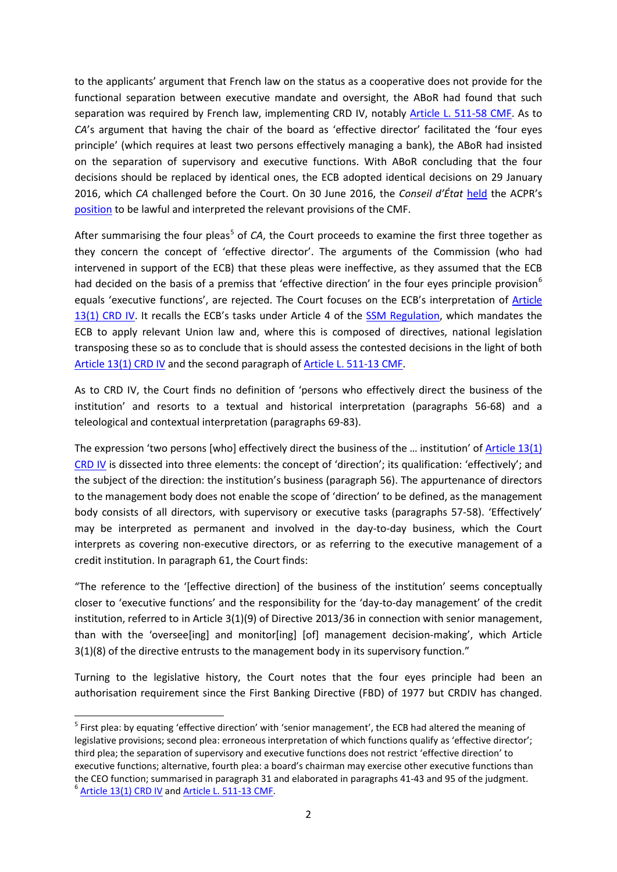to the applicants' argument that French law on the status as a cooperative does not provide for the functional separation between executive mandate and oversight, the ABoR had found that such separation was required by French law, implementing CRD IV, notably [Article L. 511-58 CMF.](https://www.legifrance.gouv.fr/affichCodeArticle.do?cidTexte=LEGITEXT000006072026&idArticle=LEGIARTI000028633127&dateTexte=&categorieLien=cid) As to *CA*'s argument that having the chair of the board as 'effective director' facilitated the 'four eyes principle' (which requires at least two persons effectively managing a bank), the ABoR had insisted on the separation of supervisory and executive functions. With ABoR concluding that the four decisions should be replaced by identical ones, the ECB adopted identical decisions on 29 January 2016, which *CA* challenged before the Court. On 30 June 2016, the *Conseil d'État* [held](https://www.legifrance.gouv.fr/affichJuriAdmin.do?idTexte=CETATEXT000032821128) the ACPR's [position](https://acpr.banque-france.fr/sites/default/files/medias/documents/20140620-communique-acpr-position-2014-p-07.pdf) to be lawful and interpreted the relevant provisions of the CMF.

After summarising the four pleas<sup>[5](#page-1-0)</sup> of *CA*, the Court proceeds to examine the first three together as they concern the concept of 'effective director'. The arguments of the Commission (who had intervened in support of the ECB) that these pleas were ineffective, as they assumed that the ECB had decided on the basis of a premiss that 'effective direction' in the four eyes principle provision<sup>[6](#page-1-1)</sup> equals 'executive functions', are rejected. The Court focuses on the ECB's interpretation of [Article](https://www.eba.europa.eu/regulation-and-policy/single-rulebook/interactive-single-rulebook/-/interactive-single-rulebook/toc/2/article-id/46)  [13\(1\) CRD IV.](https://www.eba.europa.eu/regulation-and-policy/single-rulebook/interactive-single-rulebook/-/interactive-single-rulebook/toc/2/article-id/46) It recalls the ECB's tasks under Article 4 of the [SSM Regulation,](https://eur-lex.europa.eu/legal-content/EN/TXT/PDF/?uri=CELEX:32013R1024&from=EN) which mandates the ECB to apply relevant Union law and, where this is composed of directives, national legislation transposing these so as to conclude that is should assess the contested decisions in the light of both [Article 13\(1\) CRD IV](https://www.eba.europa.eu/regulation-and-policy/single-rulebook/interactive-single-rulebook/-/interactive-single-rulebook/toc/2/article-id/46) and the second paragraph of [Article L. 511-13 CMF.](https://www.legifrance.gouv.fr/affichCodeArticle.do?cidTexte=LEGITEXT000006072026&idArticle=LEGIARTI000006654320&dateTexte=20110811)

As to CRD IV, the Court finds no definition of 'persons who effectively direct the business of the institution' and resorts to a textual and historical interpretation (paragraphs 56-68) and a teleological and contextual interpretation (paragraphs 69-83).

The expression 'two persons [who] effectively direct the business of the ... institution' of Article 13(1) [CRD IV](https://www.eba.europa.eu/regulation-and-policy/single-rulebook/interactive-single-rulebook/-/interactive-single-rulebook/toc/2/article-id/46) is dissected into three elements: the concept of 'direction'; its qualification: 'effectively'; and the subject of the direction: the institution's business (paragraph 56). The appurtenance of directors to the management body does not enable the scope of 'direction' to be defined, as the management body consists of all directors, with supervisory or executive tasks (paragraphs 57-58). 'Effectively' may be interpreted as permanent and involved in the day-to-day business, which the Court interprets as covering non-executive directors, or as referring to the executive management of a credit institution. In paragraph 61, the Court finds:

"The reference to the '[effective direction] of the business of the institution' seems conceptually closer to 'executive functions' and the responsibility for the 'day-to-day management' of the credit institution, referred to in Article 3(1)(9) of Directive 2013/36 in connection with senior management, than with the 'oversee[ing] and monitor[ing] [of] management decision-making', which Article 3(1)(8) of the directive entrusts to the management body in its supervisory function."

Turning to the legislative history, the Court notes that the four eyes principle had been an authorisation requirement since the First Banking Directive (FBD) of 1977 but CRDIV has changed.

<span id="page-1-1"></span><span id="page-1-0"></span> <sup>5</sup> First plea: by equating 'effective direction' with 'senior management', the ECB had altered the meaning of legislative provisions; second plea: erroneous interpretation of which functions qualify as 'effective director'; third plea; the separation of supervisory and executive functions does not restrict 'effective direction' to executive functions; alternative, fourth plea: a board's chairman may exercise other executive functions than the CEO function; summarised in paragraph 31 and elaborated in paragraphs 41-43 and 95 of the judgment.<br><sup>6</sup> [Article 13\(1\) CRD IV](https://www.eba.europa.eu/regulation-and-policy/single-rulebook/interactive-single-rulebook/-/interactive-single-rulebook/toc/2/article-id/46) and [Article L. 511-13 CMF.](https://www.legifrance.gouv.fr/affichCodeArticle.do?cidTexte=LEGITEXT000006072026&idArticle=LEGIARTI000006654320&dateTexte=20110811)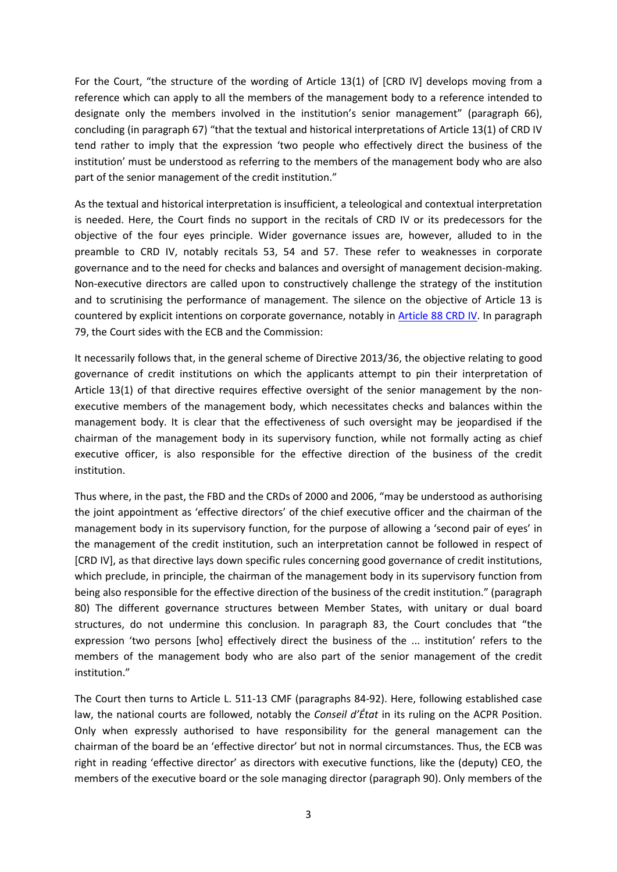For the Court, "the structure of the wording of Article 13(1) of [CRD IV] develops moving from a reference which can apply to all the members of the management body to a reference intended to designate only the members involved in the institution's senior management" (paragraph 66), concluding (in paragraph 67) "that the textual and historical interpretations of Article 13(1) of CRD IV tend rather to imply that the expression 'two people who effectively direct the business of the institution' must be understood as referring to the members of the management body who are also part of the senior management of the credit institution."

As the textual and historical interpretation is insufficient, a teleological and contextual interpretation is needed. Here, the Court finds no support in the recitals of CRD IV or its predecessors for the objective of the four eyes principle. Wider governance issues are, however, alluded to in the preamble to CRD IV, notably recitals 53, 54 and 57. These refer to weaknesses in corporate governance and to the need for checks and balances and oversight of management decision-making. Non-executive directors are called upon to constructively challenge the strategy of the institution and to scrutinising the performance of management. The silence on the objective of Article 13 is countered by explicit intentions on corporate governance, notably in [Article 88 CRD IV.](https://www.eba.europa.eu/regulation-and-policy/single-rulebook/interactive-single-rulebook/-/interactive-single-rulebook/article-id/334) In paragraph 79, the Court sides with the ECB and the Commission:

It necessarily follows that, in the general scheme of Directive 2013/36, the objective relating to good governance of credit institutions on which the applicants attempt to pin their interpretation of Article 13(1) of that directive requires effective oversight of the senior management by the nonexecutive members of the management body, which necessitates checks and balances within the management body. It is clear that the effectiveness of such oversight may be jeopardised if the chairman of the management body in its supervisory function, while not formally acting as chief executive officer, is also responsible for the effective direction of the business of the credit institution.

Thus where, in the past, the FBD and the CRDs of 2000 and 2006, "may be understood as authorising the joint appointment as 'effective directors' of the chief executive officer and the chairman of the management body in its supervisory function, for the purpose of allowing a 'second pair of eyes' in the management of the credit institution, such an interpretation cannot be followed in respect of [CRD IV], as that directive lays down specific rules concerning good governance of credit institutions, which preclude, in principle, the chairman of the management body in its supervisory function from being also responsible for the effective direction of the business of the credit institution." (paragraph 80) The different governance structures between Member States, with unitary or dual board structures, do not undermine this conclusion. In paragraph 83, the Court concludes that "the expression 'two persons [who] effectively direct the business of the ... institution' refers to the members of the management body who are also part of the senior management of the credit institution."

The Court then turns to Article L. 511-13 CMF (paragraphs 84-92). Here, following established case law, the national courts are followed, notably the *Conseil d'État* in its ruling on the ACPR Position. Only when expressly authorised to have responsibility for the general management can the chairman of the board be an 'effective director' but not in normal circumstances. Thus, the ECB was right in reading 'effective director' as directors with executive functions, like the (deputy) CEO, the members of the executive board or the sole managing director (paragraph 90). Only members of the